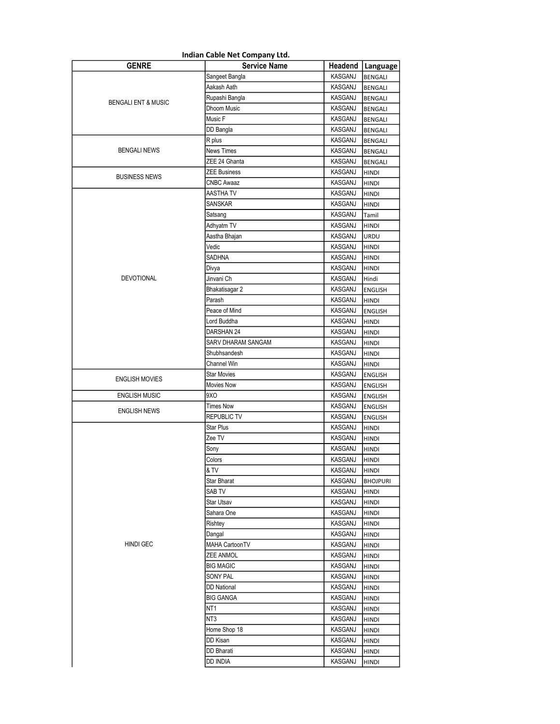|                                | Indian Cable Net Company Ltd. |         |                    |
|--------------------------------|-------------------------------|---------|--------------------|
| <b>GENRE</b>                   | <b>Service Name</b>           |         | Headend   Language |
|                                | Sangeet Bangla                | KASGANJ | <b>BENGALI</b>     |
|                                | Aakash Aath                   | KASGANJ | <b>BENGALI</b>     |
|                                | Rupashi Bangla                | KASGANJ | <b>BENGALI</b>     |
| <b>BENGALI ENT &amp; MUSIC</b> | Dhoom Music                   | KASGANJ | <b>BENGALI</b>     |
|                                | Music F                       | KASGANJ | <b>BENGALI</b>     |
|                                | DD Bangla                     | KASGANJ | BENGALI            |
|                                | R plus                        | KASGANJ | <b>BENGALI</b>     |
| <b>BENGALI NEWS</b>            | <b>News Times</b>             | KASGANJ | <b>BENGALI</b>     |
|                                | ZEE 24 Ghanta                 | KASGANJ | <b>BENGALI</b>     |
| <b>BUSINESS NEWS</b>           | <b>ZEE Business</b>           | KASGANJ | <b>HINDI</b>       |
|                                | CNBC Awaaz                    | KASGANJ | <b>HINDI</b>       |
|                                | AASTHA TV                     | KASGANJ | <b>HINDI</b>       |
|                                | SANSKAR                       | KASGANJ | HINDI              |
|                                | Satsang                       | KASGANJ | Tamil              |
|                                | Adhyatm TV                    | KASGANJ | <b>HINDI</b>       |
|                                | Aastha Bhajan                 | KASGANJ | <b>URDU</b>        |
|                                | Vedic                         | KASGANJ | <b>HINDI</b>       |
|                                | SADHNA                        | KASGANJ | <b>HINDI</b>       |
|                                | Divya                         | KASGANJ | <b>HINDI</b>       |
| <b>DEVOTIONAL</b>              | Jinvani Ch                    | KASGANJ | Hindi              |
|                                | Bhakatisagar 2                | KASGANJ | <b>ENGLISH</b>     |
|                                | Parash                        | KASGANJ | <b>HINDI</b>       |
|                                | Peace of Mind                 | KASGANJ | <b>ENGLISH</b>     |
|                                | Lord Buddha                   | KASGANJ | HINDI              |
|                                | DARSHAN 24                    | KASGANJ | <b>HINDI</b>       |
|                                | SARV DHARAM SANGAM            | KASGANJ | <b>HINDI</b>       |
|                                | Shubhsandesh                  | KASGANJ | <b>HINDI</b>       |
|                                | Channel Win                   | KASGANJ | <b>HINDI</b>       |
| <b>ENGLISH MOVIES</b>          | <b>Star Movies</b>            | KASGANJ | <b>ENGLISH</b>     |
|                                | <b>Movies Now</b>             | KASGANJ | <b>ENGLISH</b>     |
| <b>ENGLISH MUSIC</b>           | 9XO                           | KASGANJ | <b>ENGLISH</b>     |
| ENGLISH NEWS                   | <b>Times Now</b>              | KASGANJ | ENGLISH            |
|                                | <b>REPUBLIC TV</b>            | KASGANJ | <b>ENGLISH</b>     |
|                                | <b>Star Plus</b>              | KASGANJ | <b>HINDI</b>       |
|                                | Zee TV                        | KASGANJ | HINDI              |
|                                | Sony                          | KASGANJ | <b>HINDI</b>       |
|                                | Colors                        | KASGANJ | HINDI              |
|                                | & TV                          | KASGANJ | <b>HINDI</b>       |
|                                | Star Bharat                   | KASGANJ | <b>BHOJPURI</b>    |
|                                | SAB TV                        | KASGANJ | HINDI              |
|                                | <b>Star Utsav</b>             | KASGANJ | HINDI              |
|                                | Sahara One                    | KASGANJ | <b>HINDI</b>       |
|                                | Rishtey                       | KASGANJ | HINDI              |
|                                | Dangal                        | KASGANJ | HINDI              |
| <b>HINDI GEC</b>               | <b>MAHA CartoonTV</b>         | KASGANJ | HINDI              |
|                                | ZEE ANMOL                     | KASGANJ | HINDI              |
|                                | <b>BIG MAGIC</b>              | KASGANJ | <b>HINDI</b>       |
|                                | <b>SONY PAL</b>               | KASGANJ | HINDI              |
|                                | <b>DD National</b>            | KASGANJ | HINDI              |
|                                | <b>BIG GANGA</b>              | KASGANJ | HINDI              |
|                                | NT1                           | KASGANJ | <b>HINDI</b>       |
|                                | NT3                           | KASGANJ | <b>HINDI</b>       |
|                                | Home Shop 18                  | KASGANJ | HINDI              |
|                                | DD Kisan                      | KASGANJ | HINDI              |
|                                | DD Bharati                    | KASGANJ | <b>HINDI</b>       |
|                                | dd India                      | KASGANJ | HINDI              |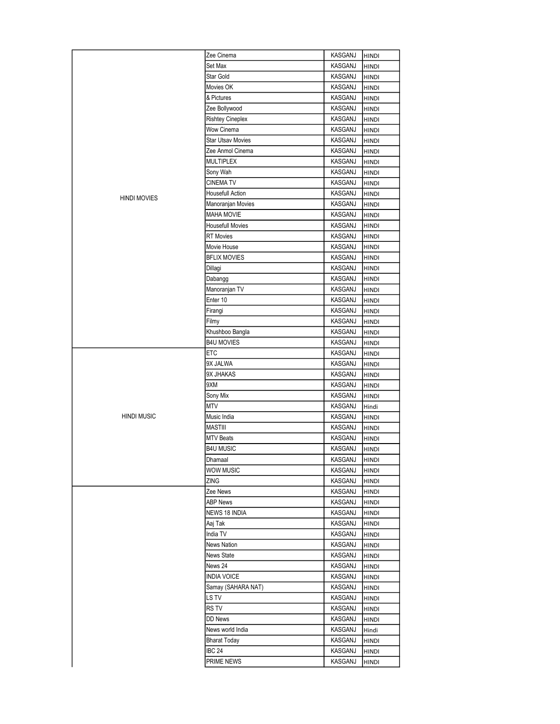|                     | Zee Cinema               | KASGANJ | <b>HINDI</b> |
|---------------------|--------------------------|---------|--------------|
|                     | Set Max                  | KASGANJ | <b>HINDI</b> |
|                     | Star Gold                | KASGANJ | HINDI        |
|                     | Movies OK                | KASGANJ | HINDI        |
|                     | & Pictures               | KASGANJ | HINDI        |
|                     | Zee Bollywood            | KASGANJ | <b>HINDI</b> |
|                     | <b>Rishtey Cineplex</b>  | KASGANJ | <b>HINDI</b> |
|                     | Wow Cinema               | KASGANJ | <b>HINDI</b> |
|                     | <b>Star Utsav Movies</b> | KASGANJ | <b>HINDI</b> |
|                     | Zee Anmol Cinema         | KASGANJ | <b>HINDI</b> |
|                     | <b>MULTIPLEX</b>         | KASGANJ | <b>HINDI</b> |
|                     | Sony Wah                 | KASGANJ | <b>HINDI</b> |
|                     | <b>CINEMA TV</b>         | KASGANJ | <b>HINDI</b> |
|                     | <b>Housefull Action</b>  | KASGANJ | <b>HINDI</b> |
| <b>HINDI MOVIES</b> | Manoranjan Movies        | KASGANJ | <b>HINDI</b> |
|                     | <b>MAHA MOVIE</b>        | KASGANJ | HINDI        |
|                     | <b>Housefull Movies</b>  | KASGANJ | HINDI        |
|                     | <b>RT</b> Movies         | KASGANJ | HINDI        |
|                     | Movie House              | KASGANJ | <b>HINDI</b> |
|                     | <b>BFLIX MOVIES</b>      | KASGANJ | HINDI        |
|                     | Dillagi                  | KASGANJ | HINDI        |
|                     | Dabangg                  | KASGANJ | HINDI        |
|                     | Manoranjan TV            | KASGANJ | HINDI        |
|                     | Enter 10                 | KASGANJ | HINDI        |
|                     | Firangi                  | KASGANJ | <b>HINDI</b> |
|                     | Filmy                    | KASGANJ | <b>HINDI</b> |
|                     | Khushboo Bangla          | KASGANJ | <b>HINDI</b> |
|                     | <b>B4U MOVIES</b>        | KASGANJ | HINDI        |
|                     | ETC                      | KASGANJ | <b>HINDI</b> |
|                     | 9X JALWA                 | KASGANJ | <b>HINDI</b> |
|                     | 9X JHAKAS                | KASGANJ | <b>HINDI</b> |
|                     | 9XM                      | KASGANJ | HINDI        |
|                     | Sony Mix                 | KASGANJ | HINDI        |
|                     | MTV                      | KASGANJ | Hindi        |
| <b>HINDI MUSIC</b>  | Music India              | KASGANJ | HINDI        |
|                     | <b>MASTIII</b>           | KASGANJ | HINDI        |
|                     | <b>MTV Beats</b>         | KASGANJ | HINDI        |
|                     | B4U MUSIC                | KASGANJ | <b>HINDI</b> |
|                     | Dhamaal                  | KASGANJ | <b>HINDI</b> |
|                     | WOW MUSIC                | KASGANJ | <b>HINDI</b> |
|                     | ZING                     | KASGANJ | HINDI        |
|                     | Zee News                 | KASGANJ | HINDI        |
|                     | <b>ABP News</b>          | KASGANJ | HINDI        |
|                     | NEWS 18 INDIA            | KASGANJ | HINDI        |
|                     | Aaj Tak                  | KASGANJ | HINDI        |
|                     | India TV                 | KASGANJ | HINDI        |
|                     | <b>News Nation</b>       | KASGANJ | HINDI        |
|                     | News State               | KASGANJ | HINDI        |
|                     | News 24                  | KASGANJ | HINDI        |
|                     | INDIA VOICE              | KASGANJ | HINDI        |
|                     | Samay (SAHARA NAT)       | KASGANJ | HINDI        |
|                     | LS TV                    | KASGANJ | HINDI        |
|                     | RS TV                    | KASGANJ | HINDI        |
|                     | DD News                  | KASGANJ | HINDI        |
|                     | News world India         | KASGANJ | Hindi        |
|                     | <b>Bharat Today</b>      | KASGANJ | HINDI        |
|                     | <b>IBC 24</b>            | KASGANJ | HINDI        |
|                     | PRIME NEWS               | KASGANJ | HINDI        |
|                     |                          |         |              |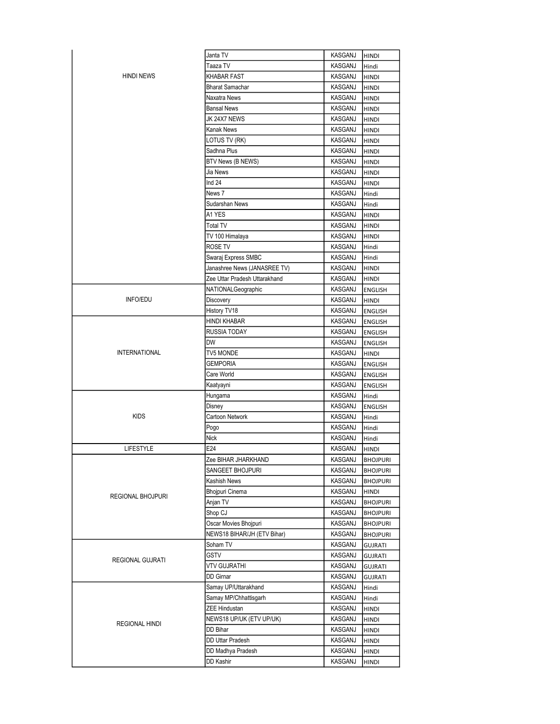|                      | Janta TV                      | KASGANJ        | <b>HINDI</b>    |
|----------------------|-------------------------------|----------------|-----------------|
| <b>HINDI NEWS</b>    | Taaza TV                      | KASGANJ        | Hindi           |
|                      | <b>KHABAR FAST</b>            | KASGANJ        | <b>HINDI</b>    |
|                      | <b>Bharat Samachar</b>        | KASGANJ        | <b>HINDI</b>    |
|                      | Naxatra News                  | KASGANJ        | <b>HINDI</b>    |
|                      | <b>Bansal News</b>            | KASGANJ        | <b>HINDI</b>    |
|                      | JK 24X7 NEWS                  | KASGANJ        | <b>HINDI</b>    |
|                      | <b>Kanak News</b>             | KASGANJ        | <b>HINDI</b>    |
|                      | LOTUS TV (RK)                 | KASGANJ        | <b>HINDI</b>    |
|                      | Sadhna Plus                   | KASGANJ        | <b>HINDI</b>    |
|                      | <b>BTV News (B NEWS)</b>      | KASGANJ        | <b>HINDI</b>    |
|                      | Jia News                      | <b>KASGANJ</b> | <b>HINDI</b>    |
|                      | Ind 24                        | KASGANJ        | <b>HINDI</b>    |
|                      | News 7                        | KASGANJ        | Hindi           |
|                      | Sudarshan News                | KASGANJ        | Hindi           |
|                      | A1 YES                        | KASGANJ        | <b>HINDI</b>    |
|                      | Total TV                      | KASGANJ        | <b>HINDI</b>    |
|                      | TV 100 Himalaya               | KASGANJ        | <b>HINDI</b>    |
|                      | ROSE TV                       | KASGANJ        | Hindi           |
|                      | Swaraj Express SMBC           | KASGANJ        | Hindi           |
|                      | Janashree News (JANASREE TV)  | KASGANJ        | <b>HINDI</b>    |
|                      | Zee Uttar Pradesh Uttarakhand | KASGANJ        | <b>HINDI</b>    |
|                      | NATIONALGeographic            | KASGANJ        | <b>ENGLISH</b>  |
| <b>INFO/EDU</b>      | Discovery                     | KASGANJ        | <b>HINDI</b>    |
|                      | History TV18                  | KASGANJ        | <b>ENGLISH</b>  |
|                      | HINDI KHABAR                  | KASGANJ        | <b>ENGLISH</b>  |
|                      | <b>RUSSIA TODAY</b>           | KASGANJ        | <b>ENGLISH</b>  |
|                      | DW                            | KASGANJ        | <b>ENGLISH</b>  |
| <b>INTERNATIONAL</b> | TV5 MONDE                     | KASGANJ        | <b>HINDI</b>    |
|                      | <b>GEMPORIA</b>               | KASGANJ        | <b>ENGLISH</b>  |
|                      | Care World                    | KASGANJ        | <b>ENGLISH</b>  |
|                      | Kaatyayni                     | KASGANJ        | <b>ENGLISH</b>  |
|                      | Hungama                       | KASGANJ        | Hindi           |
|                      | Disney                        | KASGANJ        | <b>ENGLISH</b>  |
| <b>KIDS</b>          | Cartoon Network               | KASGANJ        | Hindi           |
|                      | Pogo                          | KASGANJ        | Hindi           |
|                      | <b>Nick</b>                   | KASGANJ        | Hindi           |
| <b>LIFESTYLE</b>     | E24                           | KASGANJ        | <b>HINDI</b>    |
|                      | Zee BIHAR JHARKHAND           | KASGANJ        | <b>BHOJPURI</b> |
|                      | SANGEET BHOJPURI              | KASGANJ        | <b>BHOJPURI</b> |
| REGIONAL BHOJPURI    | <b>Kashish News</b>           | KASGANJ        | <b>BHOJPURI</b> |
|                      | <b>Bhojpuri Cinema</b>        | KASGANJ        | <b>HINDI</b>    |
|                      | Anjan TV                      | KASGANJ        | <b>BHOJPURI</b> |
|                      | Shop CJ                       | KASGANJ        | <b>BHOJPURI</b> |
|                      | Oscar Movies Bhojpuri         | KASGANJ        | <b>BHOJPURI</b> |
|                      | NEWS18 BIHAR/JH (ETV Bihar)   | KASGANJ        | <b>BHOJPURI</b> |
|                      | Soham TV                      | KASGANJ        | <b>GUJRATI</b>  |
|                      | <b>GSTV</b>                   | KASGANJ        | <b>GUJRATI</b>  |
| REGIONAL GUJRATI     | VTV GUJRATHI                  | KASGANJ        | <b>GUJRATI</b>  |
|                      | <b>DD</b> Girnar              | KASGANJ        | <b>GUJRATI</b>  |
|                      | Samay UP/Uttarakhand          | KASGANJ        | Hindi           |
| REGIONAL HINDI       | Samay MP/Chhattisgarh         | KASGANJ        | Hindi           |
|                      | <b>ZEE Hindustan</b>          | KASGANJ        | HINDI           |
|                      | NEWS18 UP/UK (ETV UP/UK)      | KASGANJ        | HINDI           |
|                      | DD Bihar                      | KASGANJ        | HINDI           |
|                      | DD Uttar Pradesh              | KASGANJ        | HINDI           |
|                      | DD Madhya Pradesh             | KASGANJ        | HINDI           |
|                      | DD Kashir                     | KASGANJ        | <b>HINDI</b>    |
|                      |                               |                |                 |